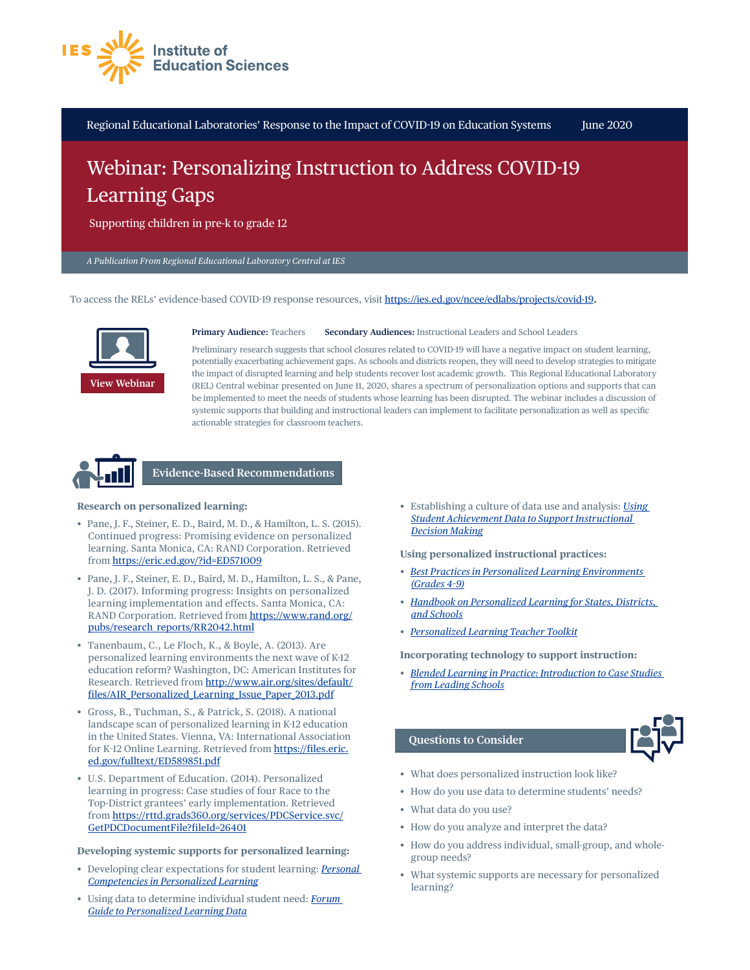

Regional Educational Laboratories' Response to the Impact of COVID-19 on Education Systems June 2020

## Webinar: Personalizing Instruction to Address COVID-19 Learning Gaps

Supporting children in pre-k to grade 12

*A Publication From Regional Educational Laboratory Central at IES*

To access the RELs' evidence-based COVID-19 response resources, visit<https://ies.ed.gov/ncee/edlabs/projects/covid-19>**.**



**Primary Audience:** Teachers **Secondary Audiences:** Instructional Leaders and School Leaders

Preliminary research suggests that school closures related to COVID-19 will have a negative impact on student learning, potentially exacerbating achievement gaps. As schools and districts reopen, they will need to develop strategies to mitigate the impact of disrupted learning and help students recover lost academic growth. This Regional Educational Laboratory (REL) Central webinar presented on June 11, 2020, shares a spectrum of personalization options and supports that can be implemented to meet the needs of students whose learning has been disrupted. The webinar includes a discussion of systemic supports that building and instructional leaders can implement to facilitate personalization as well as specific actionable strategies for classroom teachers.



**Evidence-Based Recommendations**

## **Research on personalized learning:**

- Pane, J. F., Steiner, E. D., Baird, M. D., & Hamilton, L. S. (2015). Continued progress: Promising evidence on personalized learning. Santa Monica, CA: RAND Corporation. Retrieved from <https://eric.ed.gov/?id=ED571009>
- Pane, J. F., Steiner, E. D., Baird, M. D., Hamilton, L. S., & Pane, J. D. (2017). Informing progress: Insights on personalized learning implementation and effects. Santa Monica, CA: RAND Corporation. Retrieved from [https://www.rand.org/](https://ies.ed.gov/transfer.asp?location=www.rand.org/pubs/research_reports/RR2042.html) [pubs/research\\_reports/RR2042.html](https://ies.ed.gov/transfer.asp?location=www.rand.org/pubs/research_reports/RR2042.html)
- Tanenbaum, C., Le Floch, K., & Boyle, A. (2013). Are personalized learning environments the next wave of K-12 education reform? Washington, DC: American Institutes for Research. Retrieved from [http://www.air.org/sites/default/](https://ies.ed.gov/transfer.asp?location=www.air.org/sites/default/files/AIR_Personalized_Learning_Issue_Paper_2013.pdf) [files/AIR\\_Personalized\\_Learning\\_Issue\\_Paper\\_2013.pdf](https://ies.ed.gov/transfer.asp?location=www.air.org/sites/default/files/AIR_Personalized_Learning_Issue_Paper_2013.pdf)
- Gross, B., Tuchman, S., & Patrick, S. (2018). A national landscape scan of personalized learning in K-12 education in the United States. Vienna, VA: International Association for K-12 Online Learning. Retrieved from [https://files.eric.](https://files.eric.ed.gov/fulltext/ED589851.pdf) [ed.gov/fulltext/ED589851.pdf](https://files.eric.ed.gov/fulltext/ED589851.pdf)
- U.S. Department of Education. (2014). Personalized learning in progress: Case studies of four Race to the Top-District grantees' early implementation. Retrieved from [https://rttd.grads360.org/services/PDCService.svc/](https://ies.ed.gov/transfer.asp?location=rttd.grads360.org/services/PDCService.svc/GetPDCDocumentFile?fileId=26401) [GetPDCDocumentFile?fileId=26401](https://ies.ed.gov/transfer.asp?location=rttd.grads360.org/services/PDCService.svc/GetPDCDocumentFile?fileId=26401)

**Developing systemic supports for personalized learning:**

- Developing clear expectations for student learning: *[Personal](https://files.eric.ed.gov/fulltext/ED558063.pdf)  [Competencies in Personalized Learning](https://files.eric.ed.gov/fulltext/ED558063.pdf)*
- Using data to determine individual student need: *[Forum](https://files.eric.ed.gov/fulltext/ED599382.pdf)  [Guide to Personalized Learning Data](https://files.eric.ed.gov/fulltext/ED599382.pdf)*

• Establishing a culture of data use and analysis: *[Using](https://ies.ed.gov/ncee/wwc/PracticeGuide/12)  [Student Achievement Data to Support Instructional](https://ies.ed.gov/ncee/wwc/PracticeGuide/12)  [Decision Making](https://ies.ed.gov/ncee/wwc/PracticeGuide/12)*

**Using personalized instructional practices:**

- *• [Best Practices in Personalized Learning Environments](https://ies.ed.gov/transfer.asp?location=www.hanoverresearch.com/media/Best-Practices-in-Personalized-Learning-Environments.pdf)  [\(Grades 4–9\)](https://ies.ed.gov/transfer.asp?location=www.hanoverresearch.com/media/Best-Practices-in-Personalized-Learning-Environments.pdf)*
- *• [Handbook on Personalized Learning for States, Districts,](https://files.eric.ed.gov/fulltext/ED568173.pdf)  [and Schools](https://files.eric.ed.gov/fulltext/ED568173.pdf)*
- *• [Personalized Learning Teacher Toolkit](https://ies.ed.gov/transfer.asp?location=www.k12northstar.org/cms/lib/AK01901510/Centricity/Domain/3576/Personalized-Learning-Teacher-Toolkit.pdf)*

**Incorporating technology to support instruction:**

*• [Blended Learning in Practice: Introduction to Case Studies](https://ies.ed.gov/transfer.asp?location=aurora-institute.org/resource/blended-learning-in-practice-introduction-to-case-studies-from-leading-schools/)  [from Leading Schools](https://ies.ed.gov/transfer.asp?location=aurora-institute.org/resource/blended-learning-in-practice-introduction-to-case-studies-from-leading-schools/)*

## **Questions to Consider**



- What does personalized instruction look like?
- How do you use data to determine students' needs?
- What data do you use?
- How do you analyze and interpret the data?
- How do you address individual, small-group, and wholegroup needs?
- What systemic supports are necessary for personalized learning?